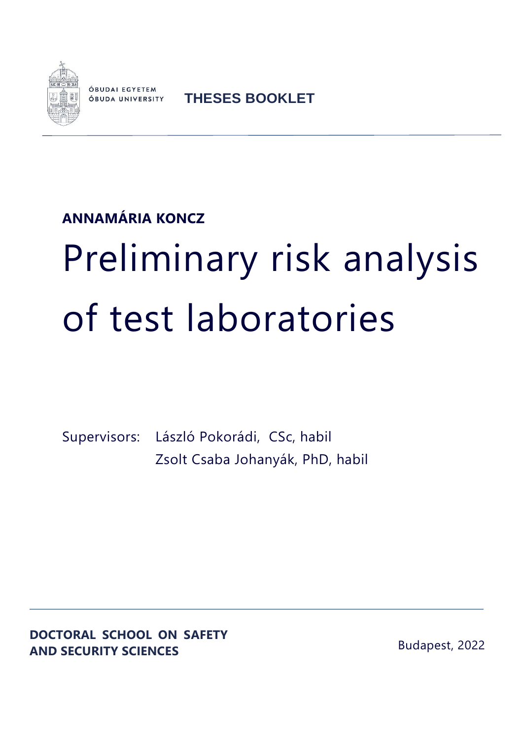

ÓBUDAI EGYETEM **ÓBUDA UNIVERSITY** 

**THESES BOOKLET**

## **ANNAMÁRIA KONCZ**

# Preliminary risk analysis of test laboratories

Supervisors: László Pokorádi, CSc, habil Zsolt Csaba Johanyák, PhD, habil

**DOCTORAL SCHOOL ON SAFETY AND SECURITY SCIENCES**

Budapest, 2022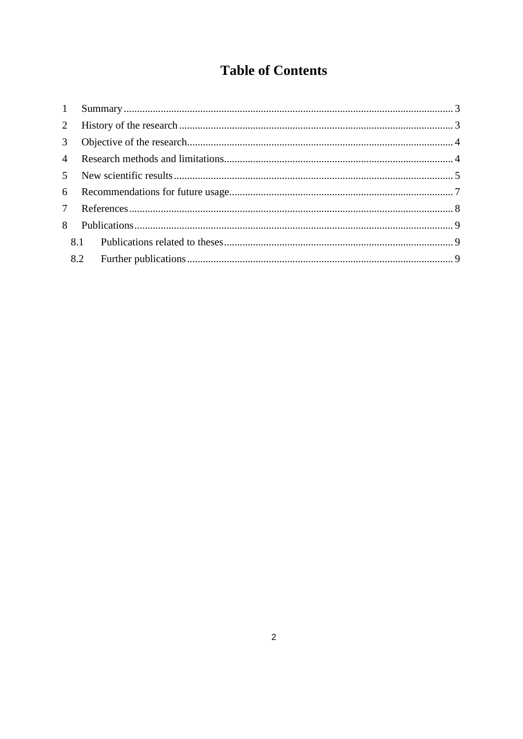### **Table of Contents**

| 1               |  |  |
|-----------------|--|--|
| 2               |  |  |
| 3 <sup>7</sup>  |  |  |
| $\overline{4}$  |  |  |
|                 |  |  |
|                 |  |  |
| $7\overline{ }$ |  |  |
| 8               |  |  |
|                 |  |  |
|                 |  |  |
|                 |  |  |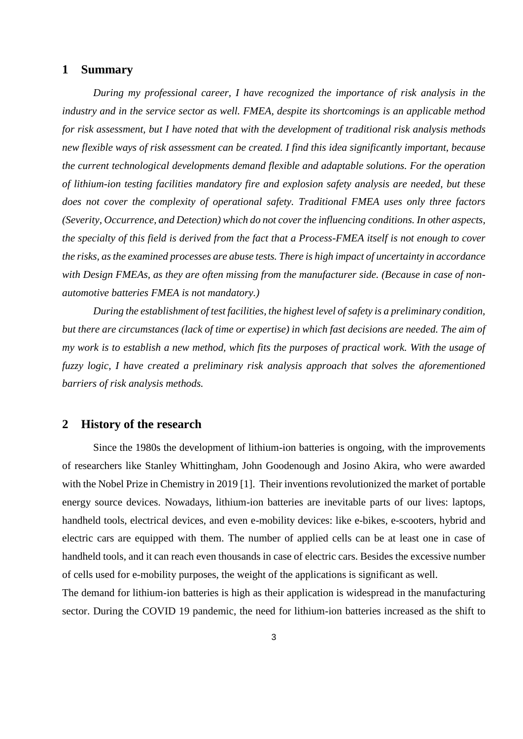#### <span id="page-2-0"></span>**1 Summary**

*During my professional career, I have recognized the importance of risk analysis in the industry and in the service sector as well. FMEA, despite its shortcomings is an applicable method for risk assessment, but I have noted that with the development of traditional risk analysis methods new flexible ways of risk assessment can be created. I find this idea significantly important, because the current technological developments demand flexible and adaptable solutions. For the operation of lithium-ion testing facilities mandatory fire and explosion safety analysis are needed, but these does not cover the complexity of operational safety. Traditional FMEA uses only three factors (Severity, Occurrence, and Detection) which do not cover the influencing conditions. In other aspects, the specialty of this field is derived from the fact that a Process-FMEA itself is not enough to cover the risks, as the examined processes are abuse tests. There is high impact of uncertainty in accordance with Design FMEAs, as they are often missing from the manufacturer side. (Because in case of nonautomotive batteries FMEA is not mandatory.)* 

*During the establishment of test facilities, the highest level of safety is a preliminary condition, but there are circumstances (lack of time or expertise) in which fast decisions are needed. The aim of my work is to establish a new method, which fits the purposes of practical work. With the usage of fuzzy logic, I have created a preliminary risk analysis approach that solves the aforementioned barriers of risk analysis methods.*

#### <span id="page-2-1"></span>**2 History of the research**

Since the 1980s the development of lithium-ion batteries is ongoing, with the improvements of researchers like Stanley Whittingham, John Goodenough and Josino Akira, who were awarded with the Nobel Prize in Chemistry in 2019 [1]. Their inventions revolutionized the market of portable energy source devices. Nowadays, lithium-ion batteries are inevitable parts of our lives: laptops, handheld tools, electrical devices, and even e-mobility devices: like e-bikes, e-scooters, hybrid and electric cars are equipped with them. The number of applied cells can be at least one in case of handheld tools, and it can reach even thousands in case of electric cars. Besides the excessive number of cells used for e-mobility purposes, the weight of the applications is significant as well.

The demand for lithium-ion batteries is high as their application is widespread in the manufacturing sector. During the COVID 19 pandemic, the need for lithium-ion batteries increased as the shift to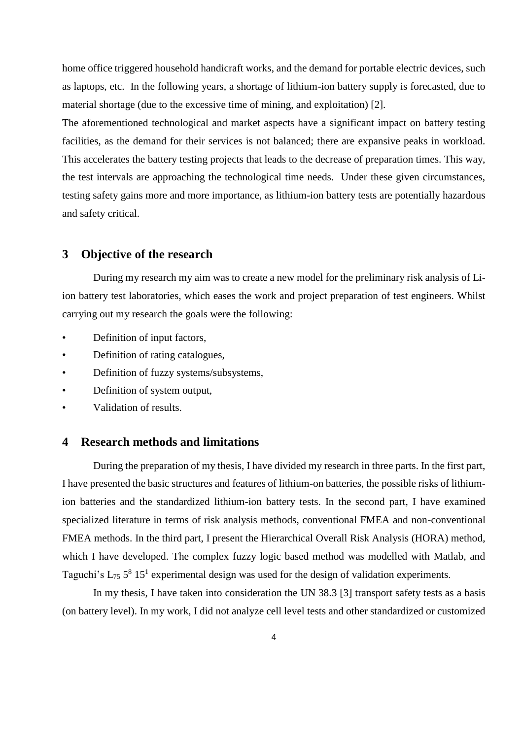home office triggered household handicraft works, and the demand for portable electric devices, such as laptops, etc. In the following years, a shortage of lithium-ion battery supply is forecasted, due to material shortage (due to the excessive time of mining, and exploitation) [2].

The aforementioned technological and market aspects have a significant impact on battery testing facilities, as the demand for their services is not balanced; there are expansive peaks in workload. This accelerates the battery testing projects that leads to the decrease of preparation times. This way, the test intervals are approaching the technological time needs. Under these given circumstances, testing safety gains more and more importance, as lithium-ion battery tests are potentially hazardous and safety critical.

#### <span id="page-3-0"></span>**3 Objective of the research**

During my research my aim was to create a new model for the preliminary risk analysis of Liion battery test laboratories, which eases the work and project preparation of test engineers. Whilst carrying out my research the goals were the following:

- Definition of input factors,
- Definition of rating catalogues,
- Definition of fuzzy systems/subsystems,
- Definition of system output,
- <span id="page-3-1"></span>• Validation of results.

#### **4 Research methods and limitations**

During the preparation of my thesis, I have divided my research in three parts. In the first part, I have presented the basic structures and features of lithium-on batteries, the possible risks of lithiumion batteries and the standardized lithium-ion battery tests. In the second part, I have examined specialized literature in terms of risk analysis methods, conventional FMEA and non-conventional FMEA methods. In the third part, I present the Hierarchical Overall Risk Analysis (HORA) method, which I have developed. The complex fuzzy logic based method was modelled with Matlab, and Taguchi's  $L_{75}$  5<sup>8</sup> 15<sup>1</sup> experimental design was used for the design of validation experiments.

In my thesis, I have taken into consideration the UN 38.3 [3] transport safety tests as a basis (on battery level). In my work, I did not analyze cell level tests and other standardized or customized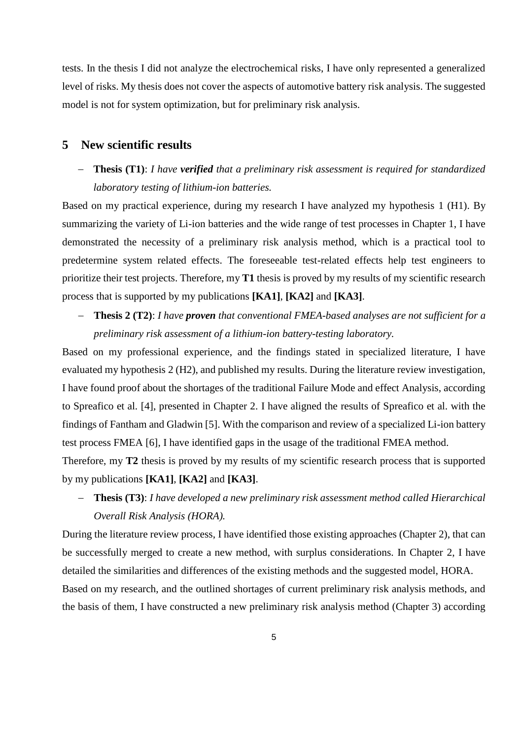tests. In the thesis I did not analyze the electrochemical risks, I have only represented a generalized level of risks. My thesis does not cover the aspects of automotive battery risk analysis. The suggested model is not for system optimization, but for preliminary risk analysis.

#### <span id="page-4-0"></span>**5 New scientific results**

 **Thesis (T1)**: *I have verified that a preliminary risk assessment is required for standardized laboratory testing of lithium-ion batteries.*

Based on my practical experience, during my research I have analyzed my hypothesis 1 (H1). By summarizing the variety of Li-ion batteries and the wide range of test processes in Chapter 1, I have demonstrated the necessity of a preliminary risk analysis method, which is a practical tool to predetermine system related effects. The foreseeable test-related effects help test engineers to prioritize their test projects. Therefore, my **T1** thesis is proved by my results of my scientific research process that is supported by my publications **[KA1]**, **[KA2]** and **[KA3]**.

 **Thesis 2 (T2)**: *I have proven that conventional FMEA-based analyses are not sufficient for a preliminary risk assessment of a lithium-ion battery-testing laboratory.*

Based on my professional experience, and the findings stated in specialized literature, I have evaluated my hypothesis 2 (H2), and published my results. During the literature review investigation, I have found proof about the shortages of the traditional Failure Mode and effect Analysis, according to Spreafico et al. [4], presented in Chapter 2. I have aligned the results of Spreafico et al. with the findings of Fantham and Gladwin [5]. With the comparison and review of a specialized Li-ion battery test process FMEA [6], I have identified gaps in the usage of the traditional FMEA method.

Therefore, my **T2** thesis is proved by my results of my scientific research process that is supported by my publications **[KA1]**, **[KA2]** and **[KA3]**.

 **Thesis (T3)**: *I have developed a new preliminary risk assessment method called Hierarchical Overall Risk Analysis (HORA).* 

During the literature review process, I have identified those existing approaches (Chapter 2), that can be successfully merged to create a new method, with surplus considerations. In Chapter 2, I have detailed the similarities and differences of the existing methods and the suggested model, HORA.

Based on my research, and the outlined shortages of current preliminary risk analysis methods, and the basis of them, I have constructed a new preliminary risk analysis method (Chapter 3) according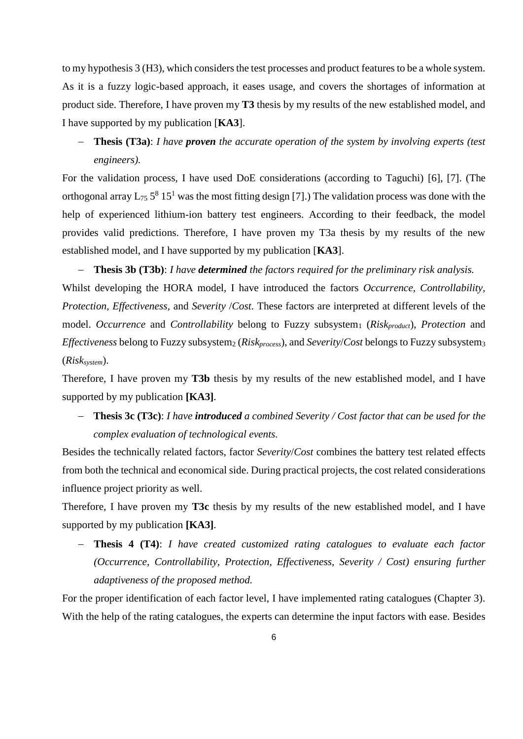to my hypothesis 3 (H3), which considers the test processes and product features to be a whole system. As it is a fuzzy logic-based approach, it eases usage, and covers the shortages of information at product side. Therefore, I have proven my **T3** thesis by my results of the new established model, and I have supported by my publication [**KA3**].

 **Thesis (T3a)**: *I have proven the accurate operation of the system by involving experts (test engineers).*

For the validation process, I have used DoE considerations (according to Taguchi) [6], [7]. (The orthogonal array  $L_{75}$  5<sup>8</sup> 15<sup>1</sup> was the most fitting design [7].) The validation process was done with the help of experienced lithium-ion battery test engineers. According to their feedback, the model provides valid predictions. Therefore, I have proven my T3a thesis by my results of the new established model, and I have supported by my publication [**KA3**].

 **Thesis 3b (T3b)**: *I have determined the factors required for the preliminary risk analysis.* Whilst developing the HORA model, I have introduced the factors *Occurrence, Controllability, Protection, Effectiveness,* and *Severity* /*Cost*. These factors are interpreted at different levels of the model. *Occurrence* and *Controllability* belong to Fuzzy subsystem<sub>1</sub> (*Risk<sub>product</sub>*), *Protection* and *Effectiveness belong to Fuzzy subsystem<sub>2</sub> (Risk<sub>process</sub>), and <i>Severity/Cost belongs to Fuzzy subsystem3* (*Risksystem*).

Therefore, I have proven my **T3b** thesis by my results of the new established model, and I have supported by my publication **[KA3]**.

 **Thesis 3c (T3c)**: *I have introduced a combined Severity / Cost factor that can be used for the complex evaluation of technological events.*

Besides the technically related factors, factor *Severity*/*Cost* combines the battery test related effects from both the technical and economical side. During practical projects, the cost related considerations influence project priority as well.

Therefore, I have proven my **T3c** thesis by my results of the new established model, and I have supported by my publication **[KA3]**.

 **Thesis 4 (T4)**: *I have created customized rating catalogues to evaluate each factor (Occurrence, Controllability, Protection, Effectiveness, Severity / Cost) ensuring further adaptiveness of the proposed method.*

For the proper identification of each factor level, I have implemented rating catalogues (Chapter 3). With the help of the rating catalogues, the experts can determine the input factors with ease. Besides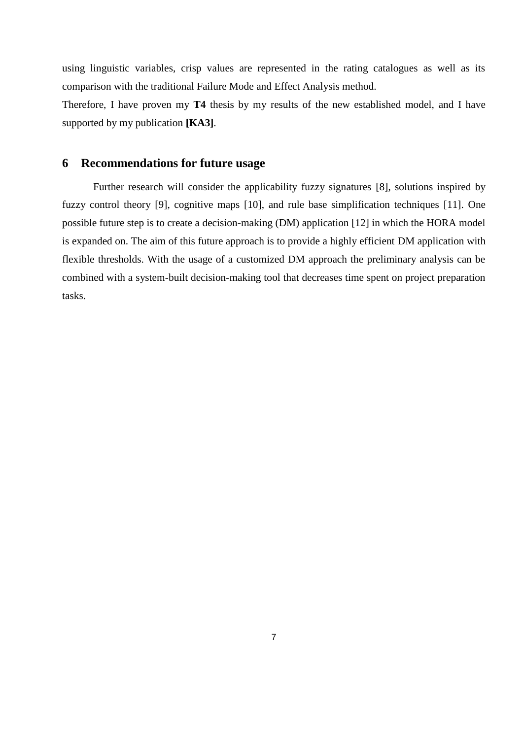using linguistic variables, crisp values are represented in the rating catalogues as well as its comparison with the traditional Failure Mode and Effect Analysis method.

Therefore, I have proven my **T4** thesis by my results of the new established model, and I have supported by my publication **[KA3]**.

#### <span id="page-6-0"></span>**6 Recommendations for future usage**

Further research will consider the applicability fuzzy signatures [8], solutions inspired by fuzzy control theory [9], cognitive maps [10], and rule base simplification techniques [11]. One possible future step is to create a decision-making (DM) application [12] in which the HORA model is expanded on. The aim of this future approach is to provide a highly efficient DM application with flexible thresholds. With the usage of a customized DM approach the preliminary analysis can be combined with a system-built decision-making tool that decreases time spent on project preparation tasks.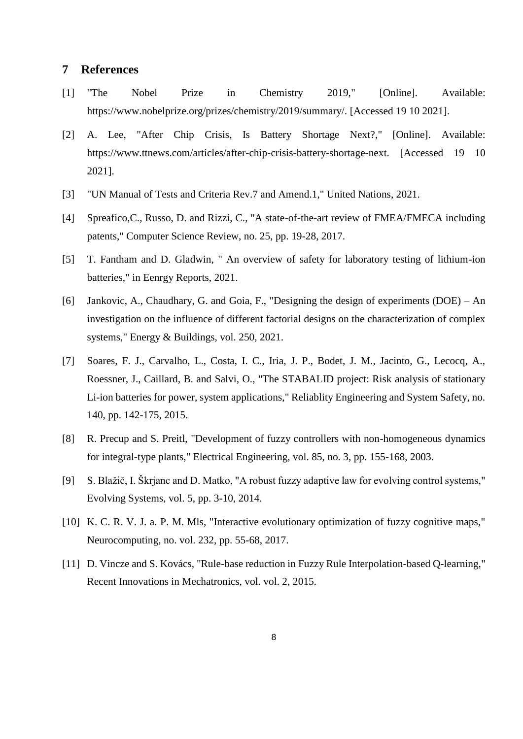#### <span id="page-7-0"></span>**7 References**

- [1] "The Nobel Prize in Chemistry 2019," [Online]. Available: https://www.nobelprize.org/prizes/chemistry/2019/summary/. [Accessed 19 10 2021].
- [2] A. Lee, "After Chip Crisis, Is Battery Shortage Next?," [Online]. Available: https://www.ttnews.com/articles/after-chip-crisis-battery-shortage-next. [Accessed 19 10 2021].
- [3] "UN Manual of Tests and Criteria Rev.7 and Amend.1," United Nations, 2021.
- [4] Spreafico,C., Russo, D. and Rizzi, C., "A state-of-the-art review of FMEA/FMECA including patents," Computer Science Review, no. 25, pp. 19-28, 2017.
- [5] T. Fantham and D. Gladwin, " An overview of safety for laboratory testing of lithium-ion batteries," in Eenrgy Reports, 2021.
- [6] Jankovic, A., Chaudhary, G. and Goia, F., "Designing the design of experiments (DOE) An investigation on the influence of different factorial designs on the characterization of complex systems," Energy & Buildings, vol. 250, 2021.
- [7] Soares, F. J., Carvalho, L., Costa, I. C., Iria, J. P., Bodet, J. M., Jacinto, G., Lecocq, A., Roessner, J., Caillard, B. and Salvi, O., "The STABALID project: Risk analysis of stationary Li-ion batteries for power, system applications," Reliablity Engineering and System Safety, no. 140, pp. 142-175, 2015.
- [8] R. Precup and S. Preitl, "Development of fuzzy controllers with non-homogeneous dynamics for integral-type plants," Electrical Engineering, vol. 85, no. 3, pp. 155-168, 2003.
- [9] S. Blažič, I. Škrjanc and D. Matko, "A robust fuzzy adaptive law for evolving control systems," Evolving Systems, vol. 5, pp. 3-10, 2014.
- [10] K. C. R. V. J. a. P. M. Mls, "Interactive evolutionary optimization of fuzzy cognitive maps," Neurocomputing, no. vol. 232, pp. 55-68, 2017.
- [11] D. Vincze and S. Kovács, "Rule-base reduction in Fuzzy Rule Interpolation-based O-learning," Recent Innovations in Mechatronics, vol. vol. 2, 2015.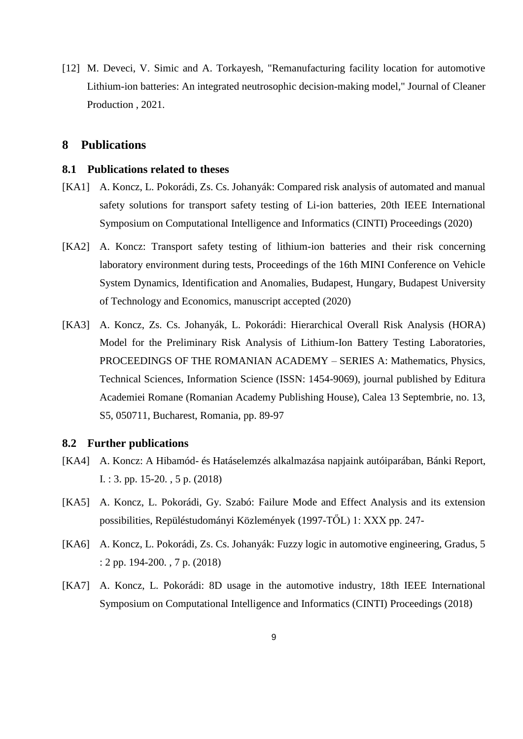[12] M. Deveci, V. Simic and A. Torkayesh, "Remanufacturing facility location for automotive Lithium-ion batteries: An integrated neutrosophic decision-making model," Journal of Cleaner Production , 2021.

#### <span id="page-8-0"></span>**8 Publications**

#### <span id="page-8-1"></span>**8.1 Publications related to theses**

- [KA1] A. Koncz, L. Pokorádi, Zs. Cs. Johanyák: Compared risk analysis of automated and manual safety solutions for transport safety testing of Li-ion batteries, 20th IEEE International Symposium on Computational Intelligence and Informatics (CINTI) Proceedings (2020)
- [KA2] A. Koncz: Transport safety testing of lithium-ion batteries and their risk concerning laboratory environment during tests, Proceedings of the 16th MINI Conference on Vehicle System Dynamics, Identification and Anomalies, Budapest, Hungary, Budapest University of Technology and Economics, manuscript accepted (2020)
- [KA3] A. Koncz, Zs. Cs. Johanyák, L. Pokorádi: Hierarchical Overall Risk Analysis (HORA) Model for the Preliminary Risk Analysis of Lithium-Ion Battery Testing Laboratories, PROCEEDINGS OF THE ROMANIAN ACADEMY – SERIES A: Mathematics, Physics, Technical Sciences, Information Science (ISSN: 1454-9069), journal published by Editura Academiei Romane (Romanian Academy Publishing House), Calea 13 Septembrie, no. 13, S5, 050711, Bucharest, Romania, pp. 89-97

#### <span id="page-8-2"></span>**8.2 Further publications**

- [KA4] A. Koncz: A Hibamód- és Hatáselemzés alkalmazása napjaink autóiparában, Bánki Report, I. : 3. pp. 15-20. , 5 p. (2018)
- [KA5] A. Koncz, L. Pokorádi, Gy. Szabó: Failure Mode and Effect Analysis and its extension possibilities, Repüléstudományi Közlemények (1997-TŐL) 1: XXX pp. 247-
- [KA6] A. Koncz, L. Pokorádi, Zs. Cs. Johanyák: Fuzzy logic in automotive engineering, Gradus, 5 : 2 pp. 194-200. , 7 p. (2018)
- [KA7] A. Koncz, L. Pokorádi: 8D usage in the automotive industry, 18th IEEE International Symposium on Computational Intelligence and Informatics (CINTI) Proceedings (2018)